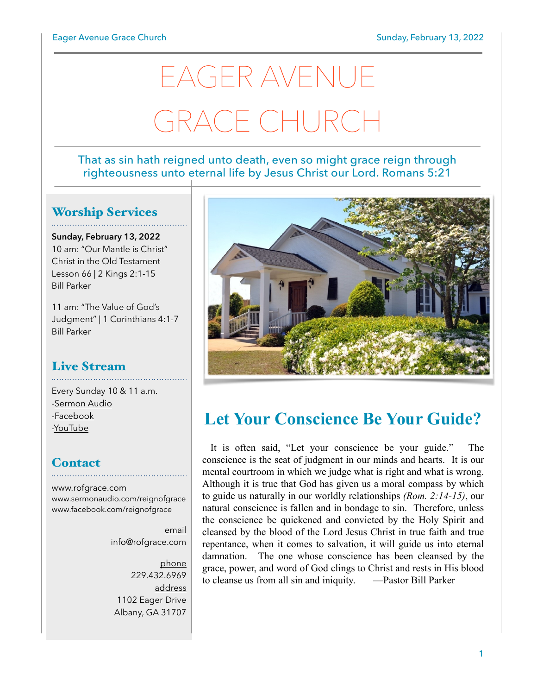# EAGER AVENUE GRACE CHURCH

#### That as sin hath reigned unto death, even so might grace reign through righteousness unto eternal life by Jesus Christ our Lord. Romans 5:21

## Worship Services

**Sunday, February 13, 2022** 10 am: "Our Mantle is Christ" Christ in the Old Testament Lesson 66 | 2 Kings 2:1-15 Bill Parker

11 am: "The Value of God's Judgment" | 1 Corinthians 4:1-7 Bill Parker

#### Live Stream

Every Sunday 10 & 11 a.m. [-Sermon Audio](http://sermonaudio.com/reignofgrace) [-Facebook](http://facebook.com/eageravechurch) [-YouTube](http://youtube.com/channel/UCu_lTHCIUOK0cka9AjFV_5Q/live)

## **Contact**

[www.rofgrace.com](http://www.rofgrace.com) [www.sermonaudio.com/reignofgrace](http://www.sermonaudio.com/reignofgrace) [www.facebook.com/reignofgrace](http://www.facebook.com/reignofgrace)

> email [info@rofgrace.com](mailto:info@rofgrace.com?subject=)

phone 229.432.6969 address 1102 Eager Drive Albany, GA 31707



## **Let Your Conscience Be Your Guide?**

 It is often said, "Let your conscience be your guide." The conscience is the seat of judgment in our minds and hearts. It is our mental courtroom in which we judge what is right and what is wrong. Although it is true that God has given us a moral compass by which to guide us naturally in our worldly relationships *(Rom. 2:14-15)*, our natural conscience is fallen and in bondage to sin. Therefore, unless the conscience be quickened and convicted by the Holy Spirit and cleansed by the blood of the Lord Jesus Christ in true faith and true repentance, when it comes to salvation, it will guide us into eternal damnation. The one whose conscience has been cleansed by the grace, power, and word of God clings to Christ and rests in His blood to cleanse us from all sin and iniquity. —Pastor Bill Parker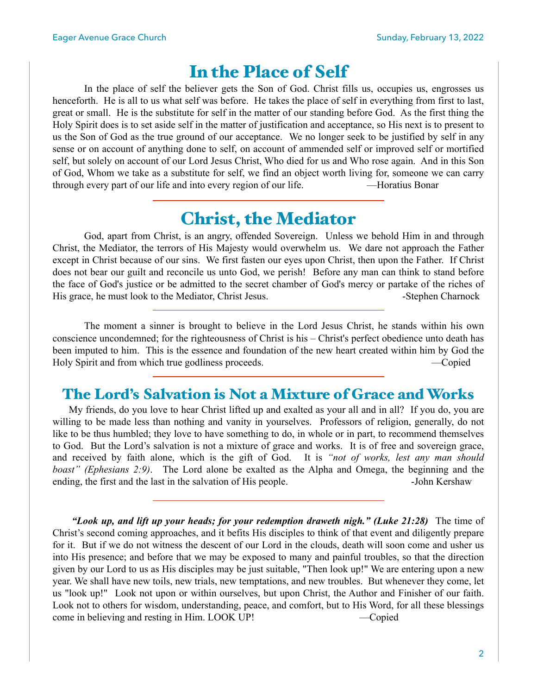## In the Place of Self

 In the place of self the believer gets the Son of God. Christ fills us, occupies us, engrosses us henceforth. He is all to us what self was before. He takes the place of self in everything from first to last, great or small. He is the substitute for self in the matter of our standing before God. As the first thing the Holy Spirit does is to set aside self in the matter of justification and acceptance, so His next is to present to us the Son of God as the true ground of our acceptance. We no longer seek to be justified by self in any sense or on account of anything done to self, on account of ammended self or improved self or mortified self, but solely on account of our Lord Jesus Christ, Who died for us and Who rose again. And in this Son of God, Whom we take as a substitute for self, we find an object worth living for, someone we can carry through every part of our life and into every region of our life. —Horatius Bonar

## Christ, the Mediator

 God, apart from Christ, is an angry, offended Sovereign. Unless we behold Him in and through Christ, the Mediator, the terrors of His Majesty would overwhelm us. We dare not approach the Father except in Christ because of our sins. We first fasten our eyes upon Christ, then upon the Father. If Christ does not bear our guilt and reconcile us unto God, we perish! Before any man can think to stand before the face of God's justice or be admitted to the secret chamber of God's mercy or partake of the riches of His grace, he must look to the Mediator, Christ Jesus. The Stephen Charnock and Stephen Charnock

The moment a sinner is brought to believe in the Lord Jesus Christ, he stands within his own conscience uncondemned; for the righteousness of Christ is his – Christ's perfect obedience unto death has been imputed to him. This is the essence and foundation of the new heart created within him by God the Holy Spirit and from which true godliness proceeds. —Copied

## The Lord's Salvation is Not a Mixture of Grace and Works

 My friends, do you love to hear Christ lifted up and exalted as your all and in all? If you do, you are willing to be made less than nothing and vanity in yourselves. Professors of religion, generally, do not like to be thus humbled; they love to have something to do, in whole or in part, to recommend themselves to God. But the Lord's salvation is not a mixture of grace and works. It is of free and sovereign grace, and received by faith alone, which is the gift of God. It is *"not of works, lest any man should boast" (Ephesians 2:9)*. The Lord alone be exalted as the Alpha and Omega, the beginning and the ending, the first and the last in the salvation of His people.  $\blacksquare$  -John Kershaw

*"Look up, and lift up your heads; for your redemption draweth nigh." (Luke 21:28)* The time of Christ's second coming approaches, and it befits His disciples to think of that event and diligently prepare for it. But if we do not witness the descent of our Lord in the clouds, death will soon come and usher us into His presence; and before that we may be exposed to many and painful troubles, so that the direction given by our Lord to us as His disciples may be just suitable, "Then look up!" We are entering upon a new year. We shall have new toils, new trials, new temptations, and new troubles. But whenever they come, let us "look up!" Look not upon or within ourselves, but upon Christ, the Author and Finisher of our faith. Look not to others for wisdom, understanding, peace, and comfort, but to His Word, for all these blessings come in believing and resting in Him. LOOK UP! —Copied